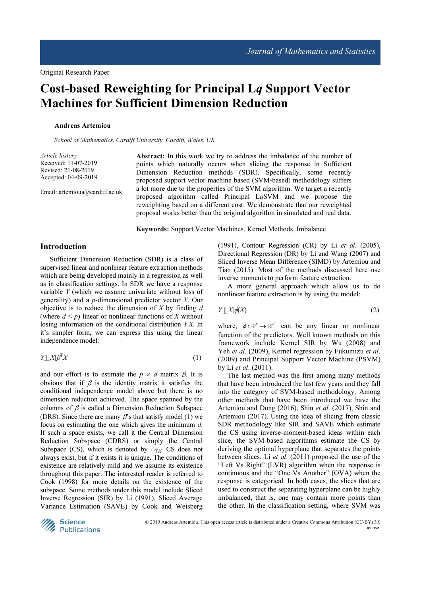# Cost-based Reweighting for Principal Lq Support Vector Machines for Sufficient Dimension Reduction

#### Andreas Artemiou

School of Mathematics, Cardiff University, Cardiff, Wales, UK

Article history Received: 11-07-2019 Revised: 21-08-2019 Accepted: 04-09-2019

Email: artemioua@cardiff.ac.uk

Abstract: In this work we try to address the imbalance of the number of points which naturally occurs when slicing the response in Sufficient Dimension Reduction methods (SDR). Specifically, some recently proposed support vector machine based (SVM-based) methodology suffers a lot more due to the properties of the SVM algorithm. We target a recently proposed algorithm called Principal LqSVM and we propose the reweighting based on a different cost. We demonstrate that our reweighted proposal works better than the original algorithm in simulated and real data.

Keywords: Support Vector Machines, Kernel Methods, Imbalance

## Introduction

Sufficient Dimension Reduction (SDR) is a class of supervised linear and nonlinear feature extraction methods which are being developed mainly in a regression as well as in classification settings. In SDR we have a response variable Y (which we assume univariate without loss of generality) and a  $p$ -dimensional predictor vector  $X$ . Our objective is to reduce the dimension of  $X$  by finding  $d$ (where  $d \leq p$ ) linear or nonlinear functions of X without losing information on the conditional distribution  $Y|X$ . In it's simpler form, we can express this using the linear independence model:

$$
Y \perp \!\!\!\perp X \mid \beta^{\mathrm{T}} X \tag{1}
$$

and our effort is to estimate the  $p \times d$  matrix  $\beta$ . It is obvious that if  $\beta$  is the identity matrix it satisfies the conditional independence model above but there is no dimension reduction achieved. The space spanned by the columns of  $\beta$  is called a Dimension Reduction Subspace (DRS). Since there are many  $\beta$ 's that satisfy model (1) we focus on estimating the one which gives the minimum d. If such a space exists, we call it the Central Dimension Reduction Subspace (CDRS) or simply the Central Subspace (CS), which is denoted by  $\mathcal{S}_{N,X}$ . CS does not always exist, but if it exists it is unique. The conditions of existence are relatively mild and we assume its existence throughout this paper. The interested reader is referred to Cook (1998) for more details on the existence of the subspace. Some methods under this model include Sliced Inverse Regression (SIR) by Li (1991), Sliced Average Variance Estimation (SAVE) by Cook and Weisberg

(1991), Contour Regression (CR) by Li et al. (2005), Directional Regression (DR) by Li and Wang (2007) and Sliced Inverse Mean Difference (SIMD) by Artemiou and Tian (2015). Most of the methods discussed here use inverse moments to perform feature extraction.

A more general approach which allow us to do nonlinear feature extraction is by using the model:

$$
Y \perp \!\!\!\perp X \mid \phi(X) \tag{2}
$$

where,  $\phi : \mathbb{R}^p \to \mathbb{R}^d$  can be any linear or nonlinear function of the predictors. Well known methods on this framework include Kernel SIR by Wu (2008) and Yeh et al. (2009), Kernel regression by Fukumizu et al. (2009) and Principal Support Vector Machine (PSVM) by Li et al. (2011).

The last method was the first among many methods that have been introduced the last few years and they fall into the category of SVM-based methodology. Among other methods that have been introduced we have the Artemiou and Dong (2016), Shin et al. (2017), Shin and Artemiou (2017). Using the idea of slicing from classic SDR methodology like SIR and SAVE which estimate the CS using inverse-moment-based ideas within each slice, the SVM-based algorithms estimate the CS by deriving the optimal hyperplane that separates the points between slices. Li et al. (2011) proposed the use of the "Left Vs Right" (LVR) algorithm when the response is continuous and the "One Vs Another" (OVA) when the response is categorical. In both cases, the slices that are used to construct the separating hyperplane can be highly imbalanced, that is, one may contain more points than the other. In the classification setting, where SVM was

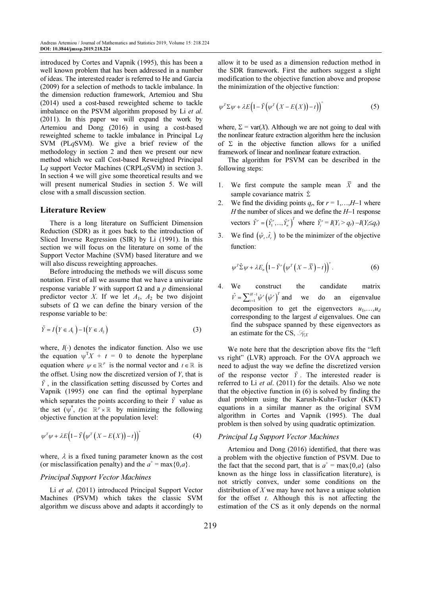introduced by Cortes and Vapnik (1995), this has been a well known problem that has been addressed in a number of ideas. The interested reader is referred to He and Garcia (2009) for a selection of methods to tackle imbalance. In the dimension reduction framework, Artemiou and Shu (2014) used a cost-based reweighted scheme to tackle imbalance on the PSVM algorithm proposed by Li et al. (2011). In this paper we will expand the work by Artemiou and Dong (2016) in using a cost-based reweighted scheme to tackle imbalance in Principal Lq SVM (PLqSVM). We give a brief review of the methodology in section 2 and then we present our new method which we call Cost-based Reweighted Principal Lq support Vector Machines (CRPLqSVM) in section 3. In section 4 we will give some theoretical results and we will present numerical Studies in section 5. We will close with a small discussion section.

### Literature Review

There is a long literature on Sufficient Dimension Reduction (SDR) as it goes back to the introduction of Sliced Inverse Regression (SIR) by Li (1991). In this section we will focus on the literature on some of the Support Vector Machine (SVM) based literature and we will also discuss reweighting approaches.

Before introducing the methods we will discuss some notation. First of all we assume that we have a univariate response variable *Y* with support  $Ω$  and a *p* dimensional predictor vector X. If we let  $A_1$ ,  $A_2$  be two disjoint subsets of  $\Omega$  we can define the binary version of the response variable to be:

$$
\tilde{Y} = I(Y \in A_1) - 1(Y \in A_2)
$$
\n(3)

where,  $I(.)$  denotes the indicator function. Also we use the equation  $\psi^T X + t = 0$  to denote the hyperplane equation where  $\psi \in \mathbb{R}^p$  is the normal vector and  $t \in \mathbb{R}$  is the offset. Using now the discretized version of  $Y$ , that is  $\tilde{Y}$ , in the classification setting discussed by Cortes and Vapnik (1995) one can find the optimal hyperplane which separates the points according to their  $\tilde{Y}$  value as the set  $(\psi^*, t) \in \mathbb{R}^p \times \mathbb{R}$  by minimizing the following objective function at the population level:

$$
\psi^T \psi + \lambda E \Big( 1 - \tilde{Y} \Big( \psi^T \Big( X - E \big( X \big) \Big) - t \Big) \Big)^+ \tag{4}
$$

where,  $\lambda$  is a fixed tuning parameter known as the cost (or misclassification penalty) and the  $a^+$  = max {0,a}.

#### Principal Support Vector Machines

Li et al. (2011) introduced Principal Support Vector Machines (PSVM) which takes the classic SVM algorithm we discuss above and adapts it accordingly to allow it to be used as a dimension reduction method in the SDR framework. First the authors suggest a slight modification to the objective function above and propose the minimization of the objective function:

$$
\psi^T \Sigma \psi + \lambda E \Big( 1 - \tilde{Y} \big( \psi^T \big( X - E \big( X \big) \big) - t \big) \Big)^+ \tag{5}
$$

where,  $\Sigma = \text{var}(X)$ . Although we are not going to deal with the nonlinear feature extraction algorithm here the inclusion of  $\Sigma$  in the objective function allows for a unified framework of linear and nonlinear feature extraction.

The algorithm for PSVM can be described in the following steps:

- 1. We first compute the sample mean  $\overline{X}$  and the sample covariance matrix  $\hat{\Sigma}$
- 2. We find the dividing points  $q_r$ , for  $r = 1,...,H-1$  where H the number of slices and we define the  $H-1$  response vectors  $\tilde{Y}^r = (\tilde{Y}_1^r, ..., \tilde{Y}_n^r)^T$  where  $\tilde{Y}_i^r = I(Y_i > q_r) - I(Y_i \leq q_r)$
- 3. We find  $(\hat{\psi}_r, \hat{t}_r)$  to be the minimizer of the objective function:

$$
\psi^T \hat{\Sigma} \psi + \lambda E_n \left( 1 - \tilde{Y}^r \left( \psi^T \left( X - \overline{X} \right) - t \right) \right)^+.
$$
 (6)

4. We construct the candidate matrix  $^1{\hat{\psi}}^r\left(\hat{\psi}^r\right)^{\!2}$  $\hat{V} = \sum_{i=1}^{H-1} \hat{\psi}^r \left( \hat{\psi}^r \right)^T$  $=\sum_{i=1}^{H-1} \hat{\psi}^r (\hat{\psi}^r)^T$  and we do an eigenvalue decomposition to get the eigenvectors  $u_1, \ldots, u_d$ corresponding to the largest  $d$  eigenvalues. One can find the subspace spanned by these eigenvectors as an estimate for the CS,  $\mathcal{S}_{N X}$ 

We note here that the description above fits the "left vs right" (LVR) approach. For the OVA approach we need to adjust the way we define the discretized version of the response vector  $\tilde{Y}$ . The interested reader is referred to Li et al. (2011) for the details. Also we note that the objective function in (6) is solved by finding the dual problem using the Karush-Kuhn-Tucker (KKT) equations in a similar manner as the original SVM algorithm in Cortes and Vapnik (1995). The dual problem is then solved by using quadratic optimization.

## Principal Lq Support Vector Machines

Artemiou and Dong (2016) identified, that there was a problem with the objective function of PSVM. Due to the fact that the second part, that is  $a^+$  = max $\{0,a\}$  (also known as the hinge loss in classification literature), is not strictly convex, under some conditions on the distribution of  $X$  we may have not have a unique solution for the offset  $t$ . Although this is not affecting the estimation of the CS as it only depends on the normal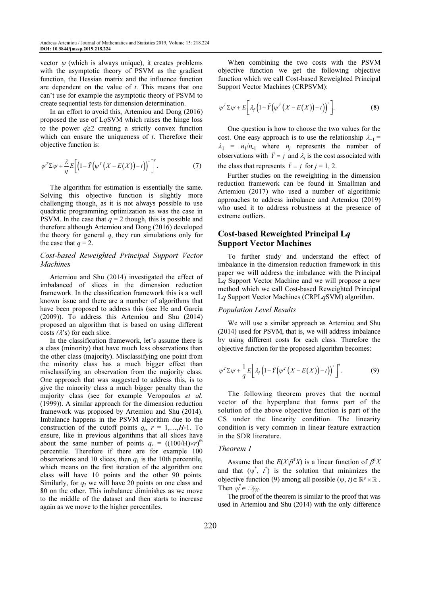vector  $\psi$  (which is always unique), it creates problems with the asymptotic theory of PSVM as the gradient function, the Hessian matrix and the influence function are dependent on the value of  $t$ . This means that one can't use for example the asymptotic theory of PSVM to create sequential tests for dimension determination.

In an effort to avoid this, Artemiou and Dong (2016) proposed the use of LqSVM which raises the hinge loss to the power  $q\geq 2$  creating a strictly convex function which can ensure the uniqueness of  $t$ . Therefore their objective function is:

$$
\psi^T \Sigma \psi + \frac{\lambda}{q} E \bigg[ \bigg( 1 - \tilde{Y} \big( \psi^T \big( X - E(X) \big) - t \big) \bigg)^+ \bigg]^q. \tag{7}
$$

The algorithm for estimation is essentially the same. Solving this objective function is slightly more challenging though, as it is not always possible to use quadratic programming optimization as was the case in PSVM. In the case that  $q = 2$  though, this is possible and therefore although Artemiou and Dong (2016) developed the theory for general  $q$ , they run simulations only for the case that  $q = 2$ .

## Cost-based Reweighted Principal Support Vector **Machines**

Artemiou and Shu (2014) investigated the effect of imbalanced of slices in the dimension reduction framework. In the classification framework this is a well known issue and there are a number of algorithms that have been proposed to address this (see He and Garcia (2009)). To address this Artemiou and Shu (2014) proposed an algorithm that is based on using different costs  $(\lambda$ 's) for each slice.

In the classification framework, let's assume there is a class (minority) that have much less observations than the other class (majority). Misclassifying one point from the minority class has a much bigger effect than misclassifying an observation from the majority class. One approach that was suggested to address this, is to give the minority class a much bigger penalty than the majority class (see for example Veropoulos et al. (1999)). A similar approach for the dimension reduction framework was proposed by Artemiou and Shu (2014). Imbalance happens in the PSVM algorithm due to the construction of the cutoff points  $q_r$ ,  $r = 1,...,H-1$ . To ensure, like in previous algorithms that all slices have about the same number of points  $q_r = ((100/H) \times r)^{th}$ percentile. Therefore if there are for example 100 observations and 10 slices, then  $q_1$  is the 10th percentile, which means on the first iteration of the algorithm one class will have 10 points and the other 90 points. Similarly, for  $q_2$  we will have 20 points on one class and 80 on the other. This imbalance diminishes as we move to the middle of the dataset and then starts to increase again as we move to the higher percentiles.

When combining the two costs with the PSVM objective function we get the following objective function which we call Cost-based Reweighted Principal Support Vector Machines (CRPSVM):

$$
\psi^T \Sigma \psi + E \bigg[ \lambda_{\tilde{Y}} \big( 1 - \tilde{Y} \big( \psi^T \big( X - E(X) \big) - t \big) \big)^+ \bigg]. \tag{8}
$$

One question is how to choose the two values for the cost. One easy approach is to use the relationship  $\lambda_{-1}$  =  $\lambda_1$  =  $n_1/n_{-1}$  where  $n_j$  represents the number of observations with  $\tilde{Y} = j$  and  $\lambda_j$  is the cost associated with the class that represents  $\tilde{Y} = j$  for  $j = 1, 2$ .

Further studies on the reweighting in the dimension reduction framework can be found in Smallman and Artemiou (2017) who used a number of algorithmic approaches to address imbalance and Artemiou (2019) who used it to address robustness at the presence of extreme outliers.

## Cost-based Reweighted Principal Lq Support Vector Machines

To further study and understand the effect of imbalance in the dimension reduction framework in this paper we will address the imbalance with the Principal Lq Support Vector Machine and we will propose a new method which we call Cost-based Reweighted Principal Lq Support Vector Machines (CRPLqSVM) algorithm.

### Population Level Results

We will use a similar approach as Artemiou and Shu (2014) used for PSVM, that is, we will address imbalance by using different costs for each class. Therefore the objective function for the proposed algorithm becomes:

$$
\psi^T \Sigma \psi + \frac{1}{q} E \bigg[ \lambda_{\tilde{Y}} \big( 1 - \tilde{Y} \big( \psi^T \big( X - E(X) \big) - t \big) \big)^+ \bigg]^q. \tag{9}
$$

The following theorem proves that the normal vector of the hyperplane that forms part of the solution of the above objective function is part of the CS under the linearity condition. The linearity condition is very common in linear feature extraction in the SDR literature.

## Theorem 1

Assume that the  $E(X|\beta^{T}X)$  is a linear function of  $\beta^{T}X$ and that  $(\psi^*, t^*)$  is the solution that minimizes the objective function (9) among all possible  $(\psi, t) \in \mathbb{R}^p \times \mathbb{R}$ . Then  $\psi^* \in \mathcal{S}_{Y|X}$ .

The proof of the theorem is similar to the proof that was used in Artemiou and Shu (2014) with the only difference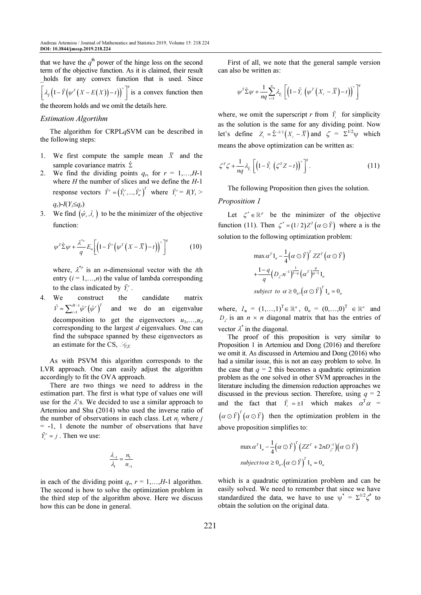that we have the  $q^{\text{th}}$  power of the hinge loss on the second term of the objective function. As it is claimed, their result holds for any convex function that is used. Since  $\left[\lambda_{\tilde{r}}\left(1-\tilde{Y}\left(\psi^{T}\left(X-E(X)\right)-t\right)\right)^{+}\right]^{q}$  is a convex function then

the theorem holds and we omit the details here.

## Estimation Algortihm

The algorithm for CRPLqSVM can be described in the following steps:

- 1. We first compute the sample mean  $\overline{X}$  and the sample covariance matrix  $\hat{\Sigma}$
- 2. We find the dividing points  $q_r$ , for  $r = 1,...,H-1$ where  $H$  the number of slices and we define the  $H$ -1 response vectors  $\tilde{Y}^r = (\tilde{Y}_1^r, ..., \tilde{Y}_n^r)^T$  where  $\tilde{Y}_i^r = I(Y_i >$  $q_r$ )- $I(Y_i \leq q_r)$
- 3. We find  $(\hat{\psi}_r, \hat{t}_r)$  to be the minimizer of the objective function:

$$
\psi^T \hat{\Sigma} \psi + \frac{\lambda^{*r}}{q} E_n \bigg[ \big( 1 - \tilde{Y}^r \big( \psi^T \big( X - \overline{X} \big) - t \big) \big)^+ \bigg]^q \tag{10}
$$

where,  $\lambda^{*r}$  is an *n*-dimensional vector with the *i*th entry  $(i = 1,...,n)$  the value of lambda corresponding to the class indicated by  $\tilde{Y}_i^r$ .

4. We construct the candidate matrix  $^1{\hat{\psi}}^r\big(\hat{\psi}^r\big)^{\!\!1}$  $\hat{V} = \sum_{i=1}^{H-1} \hat{\psi}^r \left( \hat{\psi}^r \right)^T$ = and we do an eigenvalue decomposition to get the eigenvectors  $u_1, \ldots, u_d$ corresponding to the largest  $d$  eigenvalues. One can find the subspace spanned by these eigenvectors as an estimate for the CS,  $\mathcal{S}_{NX}$ 

As with PSVM this algorithm corresponds to the LVR approach. One can easily adjust the algorithm accordingly to fit the OVA approach.

There are two things we need to address in the estimation part. The first is what type of values one will use for the  $\lambda$ 's. We decided to use a similar approach to Artemiou and Shu (2014) who used the inverse ratio of the number of observations in each class. Let  $n_j$  where j = -1, 1 denote the number of observations that have  $ilde{Y}_i^r = j$ . Then we use:

$$
\frac{\lambda_{-1}}{\lambda_1} = \frac{n_1}{n_{-1}}
$$

in each of the dividing point  $q_r$ ,  $r = 1,...,H-1$  algorithm. The second is how to solve the optimization problem in the third step of the algorithm above. Here we discuss how this can be done in general.

First of all, we note that the general sample version can also be written as:

$$
\psi^T \hat{\Sigma} \psi + \frac{1}{nq} \sum_{i=1}^n \lambda_{\tilde{Y}_i} \left[ \left( 1 - \tilde{Y}_i \left( \psi^T \left( X_i - \overline{X} \right) - t \right) \right)^+ \right]^q
$$

where, we omit the superscript r from  $\tilde{Y}_i$  for simplicity as the solution is the same for any dividing point. Now let's define  $Z_i = \hat{\Sigma}^{-1/2} (X_i - \overline{X})$  and  $\zeta = \Sigma^{1/2} \psi$  which means the above optimization can be written as:

$$
\zeta^T \zeta + \frac{1}{nq} \lambda_{\tilde{Y}_i} \left[ \left( 1 - \tilde{Y}_i \left( \zeta^T Z - t \right) \right)^+ \right]^q.
$$
 (11)

The following Proposition then gives the solution.

### Proposition 1

Let  $\zeta^* \in \mathbb{R}^p$  be the minimizer of the objective function (11). Then  $\zeta^* = (1/2)Z^T(\alpha \odot \tilde{Y})$  where a is the solution to the following optimization problem:

$$
\max \alpha^{T} 1_{n} - \frac{1}{4} (\alpha \odot \tilde{Y})^{T} Z Z^{T} (\alpha \odot \tilde{Y})
$$

$$
+ \frac{1 - q}{q} (D_{\lambda} n^{-1})^{\frac{1}{1 - q}} (\alpha^{T})^{\frac{q}{q - 1}} 1_{n}
$$
  
subject to  $\alpha \ge 0_{n}, (\alpha \odot \tilde{Y})^{T} 1_{n} = 0_{n}$ 

where,  $I_n = (1,...,1)^T \in \mathbb{R}^n$ ,  $0_n = (0,...,0)^T \in \mathbb{R}^n$  and  $D_i$  is an  $n \times n$  diagonal matrix that has the entries of vector  $\lambda^*$  in the diagonal.

The proof of this proposition is very similar to Proposition 1 in Artemiou and Dong (2016) and therefore we omit it. As discussed in Artemiou and Dong (2016) who had a similar issue, this is not an easy problem to solve. In the case that  $q = 2$  this becomes a quadratic optimization problem as the one solved in other SVM approaches in the literature including the dimension reduction approaches we discussed in the previous section. Therefore, using  $q = 2$ and the fact that  $\tilde{Y}_i = \pm 1$  which makes  $\alpha^T \alpha =$  $(\alpha \odot \tilde{r})^T (\alpha \odot \tilde{r})$  then the optimization problem in the above proposition simplifies to:

$$
\max \alpha^{T} 1_{n} - \frac{1}{4} (\alpha \odot \tilde{Y})^{T} (ZZ^{T} + 2nD_{\lambda^{*}}^{-1}) (\alpha \odot \tilde{Y})
$$
  
subject to  $\alpha \ge 0_{n}$ ,  $(\alpha \odot \tilde{Y})^{T} 1_{n} = 0_{n}$ 

which is a quadratic optimization problem and can be easily solved. We need to remember that since we have standardized the data, we have to use  $\psi^* = \sum^{1/2} \zeta^*$  to obtain the solution on the original data.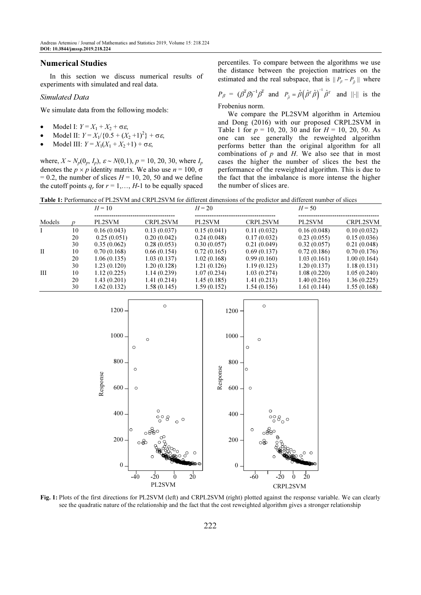## Numerical Studies

In this section we discuss numerical results of experiments with simulated and real data.

#### Simulated Data

We simulate data from the following models:

- Model I:  $Y = X_1 + X_2 + \sigma \varepsilon$ ,
- Model II:  $Y = X_1/(0.5 + (X_2 + 1)^2) + \sigma \varepsilon$ ,
- Model III:  $Y = X_1(X_1 + X_2 + 1) + \sigma \varepsilon$ ,

where,  $X \sim N_p(0_p, I_p)$ ,  $\varepsilon \sim N(0, 1)$ ,  $p = 10, 20, 30$ , where  $I_p$ denotes the  $p \times p$  identity matrix. We also use  $n = 100$ ,  $\sigma$  $= 0.2$ , the number of slices  $H = 10, 20, 50$  and we define the cutoff points  $q_r$  for  $r = 1, \ldots, H$ -1 to be equally spaced percentiles. To compare between the algorithms we use the distance between the projection matrices on the estimated and the real subspace, that is  $||P_{\beta} - P_{\hat{\beta}}||$  where

$$
P_{\beta} = (\beta^T \beta)^{-1} \beta^T
$$
 and  $P_{\hat{\beta}} = \hat{\beta} (\hat{\beta}^T \hat{\beta})^{-1} \hat{\beta}^T$  and  $||\cdot||$  is the

Frobenius norm.

We compare the PL2SVM algorithm in Artemiou and Dong (2016) with our proposed CRPL2SVM in Table 1 for  $p = 10$ , 20, 30 and for  $H = 10$ , 20, 50. As one can see generally the reweighted algorithm performs better than the original algorithm for all combinations of  $p$  and  $H$ . We also see that in most cases the higher the number of slices the best the performance of the reweighted algorithm. This is due to the fact that the imbalance is more intense the higher the number of slices are.

Table 1: Performance of PL2SVM and CRPL2SVM for different dimensions of the predictor and different number of slices

|              |    | $H=10$       |                 | $H = 20$     |                 | $H = 50$    |                 |
|--------------|----|--------------|-----------------|--------------|-----------------|-------------|-----------------|
|              |    |              |                 |              |                 |             |                 |
| Models       |    | PL2SVM       | <b>CRPL2SVM</b> | PL2SVM       | <b>CRPL2SVM</b> | PL2SVM      | <b>CRPL2SVM</b> |
|              | 10 | 0.16(0.043)  | 0.13(0.037)     | 0.15(0.041)  | 0.11(0.032)     | 0.16(0.048) | 0.10(0.032)     |
|              | 20 | 0.25(0.051)  | 0.20(0.042)     | 0.24(0.048)  | 0.17(0.032)     | 0.23(0.055) | 0.15(0.036)     |
|              | 30 | 0.35(0.062)  | 0.28(0.053)     | 0.30(0.057)  | 0.21(0.049)     | 0.32(0.057) | 0.21(0.048)     |
| $\mathbf{I}$ | 10 | 0.70(0.168)  | 0.66(0.154)     | 0.72(0.165)  | 0.69(0.137)     | 0.72(0.186) | 0.70(0.176)     |
|              | 20 | 1.06(0.135)  | 1.03(0.137)     | 1.02(0.168)  | 0.99(0.160)     | 1.03(0.161) | 1.00(0.164)     |
|              | 30 | 1.23 (0.120) | 1.20(0.128)     | 1.21 (0.126) | 1.19(0.123)     | 1.20(0.137) | 1.18(0.131)     |
| Ш            | 10 | 1.12(0.225)  | 1.14(0.239)     | 1.07(0.234)  | 1.03(0.274)     | 1.08(0.220) | 1.05(0.240)     |
|              | 20 | 1.43 (0.201) | 1.41(0.214)     | 1.45 (0.185) | 1.41(0.213)     | 1.40(0.216) | 1.36(0.225)     |
|              | 30 | 1.62 (0.132) | 1.58(0.145)     | 1.59 (0.152) | 1.54 (0.156)    | 1.61(0.144) | 1.55(0.168)     |



Fig. 1: Plots of the first directions for PL2SVM (left) and CRPL2SVM (right) plotted against the response variable. We can clearly see the quadratic nature of the relationship and the fact that the cost reweighted algorithm gives a stronger relationship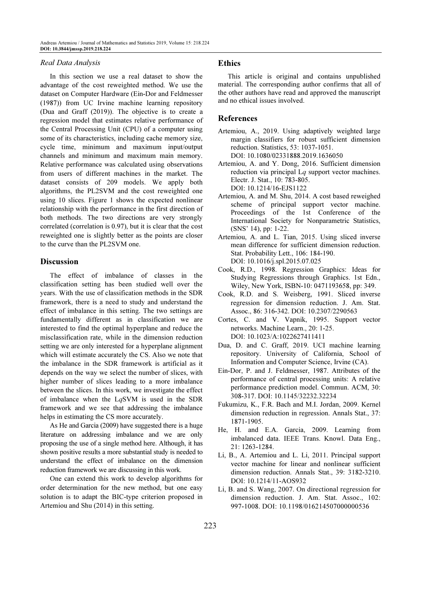#### Real Data Analysis

In this section we use a real dataset to show the advantage of the cost reweighted method. We use the dataset on Computer Hardware (Ein-Dor and Feldmesser (1987)) from UC Irvine machine learning repository (Dua and Graff (2019)). The objective is to create a regression model that estimates relative performance of the Central Processing Unit (CPU) of a computer using some of its characteristics, including cache memory size, cycle time, minimum and maximum input/output channels and minimum and maximum main memory. Relative performance was calculated using observations from users of different machines in the market. The dataset consists of 209 models. We apply both algorithms, the PL2SVM and the cost reweighted one using 10 slices. Figure 1 shows the expected nonlinear relationship with the performance in the first direction of both methods. The two directions are very strongly correlated (correlation is 0.97), but it is clear that the cost reweighted one is slightly better as the points are closer to the curve than the PL2SVM one.

## **Discussion**

The effect of imbalance of classes in the classification setting has been studied well over the years. With the use of classification methods in the SDR framework, there is a need to study and understand the effect of imbalance in this setting. The two settings are fundamentally different as in classification we are interested to find the optimal hyperplane and reduce the misclassification rate, while in the dimension reduction setting we are only interested for a hyperplane alignment which will estimate accurately the CS. Also we note that the imbalance in the SDR framework is artificial as it depends on the way we select the number of slices, with higher number of slices leading to a more imbalance between the slices. In this work, we investigate the effect of imbalance when the LqSVM is used in the SDR framework and we see that addressing the imbalance helps in estimating the CS more accurately.

As He and Garcia (2009) have suggested there is a huge literature on addressing imbalance and we are only proposing the use of a single method here. Although, it has shown positive results a more substantial study is needed to understand the effect of imbalance on the dimension reduction framework we are discussing in this work.

One can extend this work to develop algorithms for order determination for the new method, but one easy solution is to adapt the BIC-type criterion proposed in Artemiou and Shu (2014) in this setting.

## Ethics

This article is original and contains unpublished material. The corresponding author confirms that all of the other authors have read and approved the manuscript and no ethical issues involved.

## References

- Artemiou, A., 2019. Using adaptively weighted large margin classifiers for robust sufficient dimension reduction. Statistics, 53: 1037-1051. DOI: 10.1080/02331888.2019.1636050
- Artemiou, A. and Y. Dong, 2016. Sufficient dimension reduction via principal Lq support vector machines. Electr. J. Stat., 10: 783-805. DOI: 10.1214/16-EJS1122
- Artemiou, A. and M. Shu, 2014. A cost based reweighed scheme of principal support vector machine. Proceedings of the 1st Conference of the International Society for Nonparametric Statistics, (SNS' 14), pp: 1-22.
- Artemiou, A. and L. Tian, 2015. Using sliced inverse mean difference for sufficient dimension reduction. Stat. Probability Lett., 106: 184-190. DOI: 10.1016/j.spl.2015.07.025
- Cook, R.D., 1998. Regression Graphics: Ideas for Studying Regressions through Graphics. 1st Edn., Wiley, New York, ISBN-10: 0471193658, pp: 349.
- Cook, R.D. and S. Weisberg, 1991. Sliced inverse regression for dimension reduction. J. Am. Stat. Assoc., 86: 316-342. DOI: 10.2307/2290563
- Cortes, C. and V. Vapnik, 1995. Support vector networks. Machine Learn., 20: 1-25. DOI: 10.1023/A:1022627411411
- Dua, D. and C. Graff, 2019. UCI machine learning repository. University of California, School of Information and Computer Science, Irvine (CA).
- Ein-Dor, P. and J. Feldmesser, 1987. Attributes of the performance of central processing units: A relative performance prediction model. Commun. ACM, 30: 308-317. DOI: 10.1145/32232.32234
- Fukumizu, K., F.R. Bach and M.I. Jordan, 2009. Kernel dimension reduction in regression. Annals Stat., 37: 1871-1905.
- He, H. and E.A. Garcia, 2009. Learning from imbalanced data. IEEE Trans. Knowl. Data Eng., 21: 1263-1284.
- Li, B., A. Artemiou and L. Li, 2011. Principal support vector machine for linear and nonlinear sufficient dimension reduction. Annals Stat., 39: 3182-3210. DOI: 10.1214/11-AOS932
- Li, B. and S. Wang, 2007. On directional regression for dimension reduction. J. Am. Stat. Assoc., 102: 997-1008. DOI: 10.1198/016214507000000536